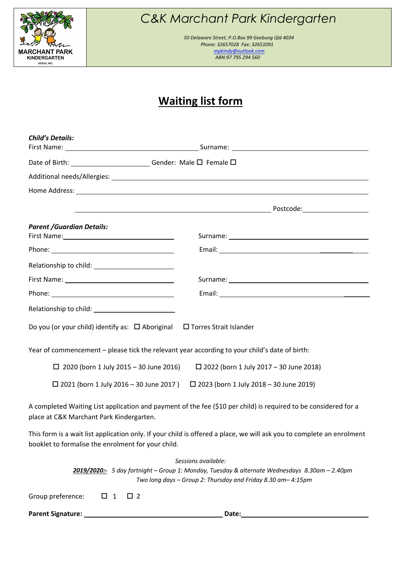

# *C&K Marchant Park Kindergarten*

 *50 Delaware Street, P.O.Box 99 Geebung Qld 4034 Phone: 32657028 Fax: 32651091 mpkindy@outlook.com ABN:97 795 294 560*

### **Waiting list form**

| <b>Child's Details:</b>                                                                                                                                                                                                        |                                                                                                                                                                                                                                      |  |  |  |  |
|--------------------------------------------------------------------------------------------------------------------------------------------------------------------------------------------------------------------------------|--------------------------------------------------------------------------------------------------------------------------------------------------------------------------------------------------------------------------------------|--|--|--|--|
|                                                                                                                                                                                                                                |                                                                                                                                                                                                                                      |  |  |  |  |
|                                                                                                                                                                                                                                |                                                                                                                                                                                                                                      |  |  |  |  |
|                                                                                                                                                                                                                                |                                                                                                                                                                                                                                      |  |  |  |  |
|                                                                                                                                                                                                                                |                                                                                                                                                                                                                                      |  |  |  |  |
|                                                                                                                                                                                                                                | <u>in the contract of the contract of the contract of the contract of the contract of the contract of the contract of the contract of the contract of the contract of the contract of the contract of the contract of the contra</u> |  |  |  |  |
| <b>Parent /Guardian Details:</b>                                                                                                                                                                                               |                                                                                                                                                                                                                                      |  |  |  |  |
|                                                                                                                                                                                                                                |                                                                                                                                                                                                                                      |  |  |  |  |
| Relationship to child: Network and Child and Child and Child and Child and Child and Child and Child and Child and Child and Child and Child and Child and Child and Child and Child and Child and Child and Child and Child a |                                                                                                                                                                                                                                      |  |  |  |  |
|                                                                                                                                                                                                                                | Surname: Note and the set of the set of the set of the set of the set of the set of the set of the set of the set of the set of the set of the set of the set of the set of the set of the set of the set of the set of the se       |  |  |  |  |
|                                                                                                                                                                                                                                |                                                                                                                                                                                                                                      |  |  |  |  |
|                                                                                                                                                                                                                                |                                                                                                                                                                                                                                      |  |  |  |  |
| Do you (or your child) identify as: □ Aboriginal □ Torres Strait Islander                                                                                                                                                      |                                                                                                                                                                                                                                      |  |  |  |  |
| Year of commencement - please tick the relevant year according to your child's date of birth:                                                                                                                                  |                                                                                                                                                                                                                                      |  |  |  |  |
| $\Box$ 2020 (born 1 July 2015 - 30 June 2016)                                                                                                                                                                                  | $\Box$ 2022 (born 1 July 2017 – 30 June 2018)                                                                                                                                                                                        |  |  |  |  |
|                                                                                                                                                                                                                                | $\Box$ 2021 (born 1 July 2016 – 30 June 2017) $\Box$ 2023 (born 1 July 2018 – 30 June 2019)                                                                                                                                          |  |  |  |  |
| place at C&K Marchant Park Kindergarten.                                                                                                                                                                                       | A completed Waiting List application and payment of the fee (\$10 per child) is required to be considered for a                                                                                                                      |  |  |  |  |

This form is a wait list application only. If your child is offered a place, we will ask you to complete an enrolment booklet to formalise the enrolment for your child.

|                                     |  | Sessions available:                                                                                  |
|-------------------------------------|--|------------------------------------------------------------------------------------------------------|
|                                     |  | <b>2019/2020:-</b> 5 day fortnight – Group 1: Monday, Tuesday & alternate Wednesdays 8.30am – 2.40pm |
|                                     |  | Two long days – Group 2: Thursday and Friday 8.30 am– 4:15pm                                         |
| Group preference: $\Box$ 1 $\Box$ 2 |  |                                                                                                      |
| <b>Parent Signature:</b>            |  | Date:                                                                                                |